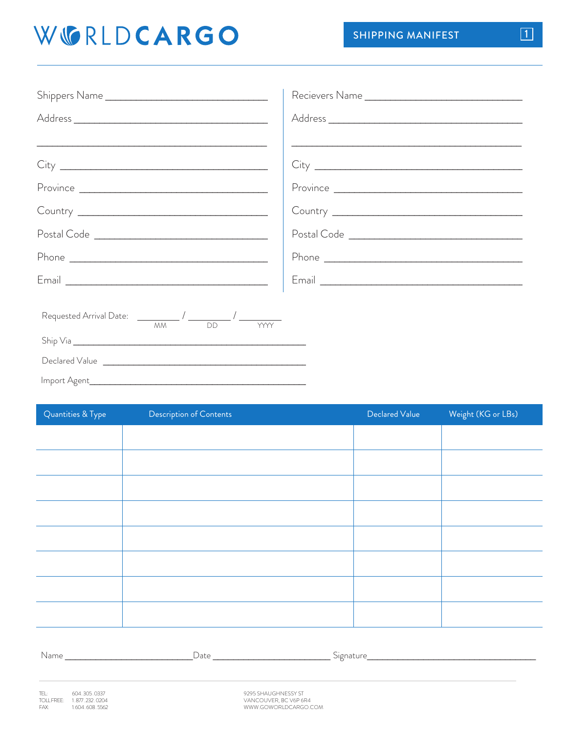## WGRLDCARGO

| Shippers Name                                                                                                                                                                                                                                                                                                                                                                                                    |  |
|------------------------------------------------------------------------------------------------------------------------------------------------------------------------------------------------------------------------------------------------------------------------------------------------------------------------------------------------------------------------------------------------------------------|--|
|                                                                                                                                                                                                                                                                                                                                                                                                                  |  |
| <u> 1989 - Johann Harry Harry Harry Harry Harry Harry Harry Harry Harry Harry Harry Harry Harry Harry Harry Harry</u>                                                                                                                                                                                                                                                                                            |  |
|                                                                                                                                                                                                                                                                                                                                                                                                                  |  |
|                                                                                                                                                                                                                                                                                                                                                                                                                  |  |
|                                                                                                                                                                                                                                                                                                                                                                                                                  |  |
|                                                                                                                                                                                                                                                                                                                                                                                                                  |  |
|                                                                                                                                                                                                                                                                                                                                                                                                                  |  |
|                                                                                                                                                                                                                                                                                                                                                                                                                  |  |
| Requested Arrival Date: $\frac{1}{1-\frac{1}{1-\frac{1}{1-\frac{1}{1-\frac{1}{1-\frac{1}{1-\frac{1}{1-\frac{1}{1-\frac{1}{1-\frac{1}{1-\frac{1}{1-\frac{1}{1-\frac{1}{1-\frac{1}{1-\frac{1}{1-\frac{1}{1-\frac{1}{1-\frac{1}{1-\frac{1}{1-\frac{1}{1-\frac{1}{1-\frac{1}{1-\frac{1}{1-\frac{1}{1-\frac{1}{1-\frac{1}{1-\frac{1}{1-\frac{1}{1-\frac{1}{1-\frac{1}{1-\frac{1}{1-\frac{1}{1-\frac{1$<br><b>YYYY</b> |  |
|                                                                                                                                                                                                                                                                                                                                                                                                                  |  |
|                                                                                                                                                                                                                                                                                                                                                                                                                  |  |
|                                                                                                                                                                                                                                                                                                                                                                                                                  |  |

| Quantities & Type | Description of Contents | Declared Value | Weight (KG or LBs) |
|-------------------|-------------------------|----------------|--------------------|
|                   |                         |                |                    |
|                   |                         |                |                    |
|                   |                         |                |                    |
|                   |                         |                |                    |
|                   |                         |                |                    |
|                   |                         |                |                    |
|                   |                         |                |                    |
|                   |                         |                |                    |
|                   |                         |                |                    |

| Name<br>$\sim$ $\sim$ | Date | Signati. |
|-----------------------|------|----------|
|                       |      |          |

9295 SHAUGHNESSY ST VANCOUVER, BC V6P 6R4<br>WWW.GOWORLDCARGO.COM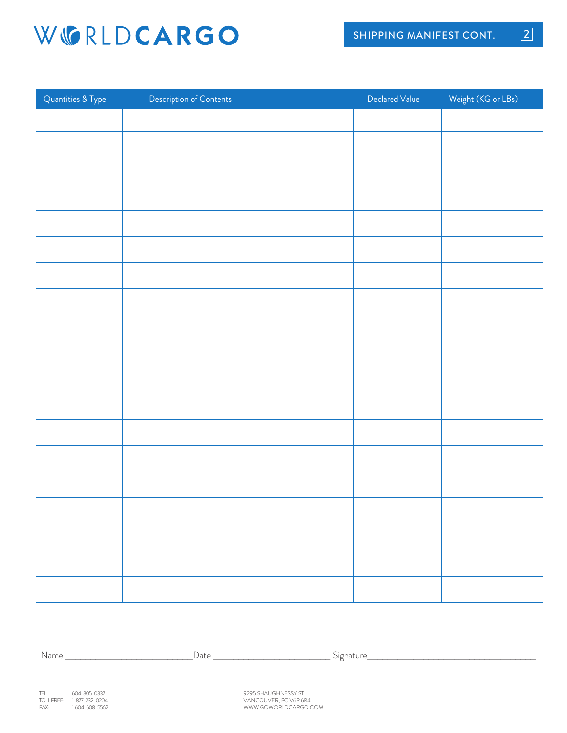## WGRLDCARGO

| Quantities & Type | Description of Contents | Declared Value | Weight (KG or LBs) |
|-------------------|-------------------------|----------------|--------------------|
|                   |                         |                |                    |
|                   |                         |                |                    |
|                   |                         |                |                    |
|                   |                         |                |                    |
|                   |                         |                |                    |
|                   |                         |                |                    |
|                   |                         |                |                    |
|                   |                         |                |                    |
|                   |                         |                |                    |
|                   |                         |                |                    |
|                   |                         |                |                    |
|                   |                         |                |                    |
|                   |                         |                |                    |
|                   |                         |                |                    |
|                   |                         |                |                    |
|                   |                         |                |                    |
|                   |                         |                |                    |
|                   |                         |                |                    |
|                   |                         |                |                    |

Name \_\_\_\_\_\_\_\_\_\_\_\_\_\_\_\_\_\_\_\_\_\_\_\_\_Date \_\_\_\_\_\_\_\_\_\_\_\_\_\_\_\_\_\_\_\_\_\_\_ Signature\_\_\_\_\_\_\_\_\_\_\_\_\_\_\_\_\_\_\_\_\_\_\_\_\_\_\_\_\_\_\_\_\_

9295 SHAUGHNESSY ST VANCOUVER, BC V6P 6R4 WWW.GOWORLDCARGO.COM